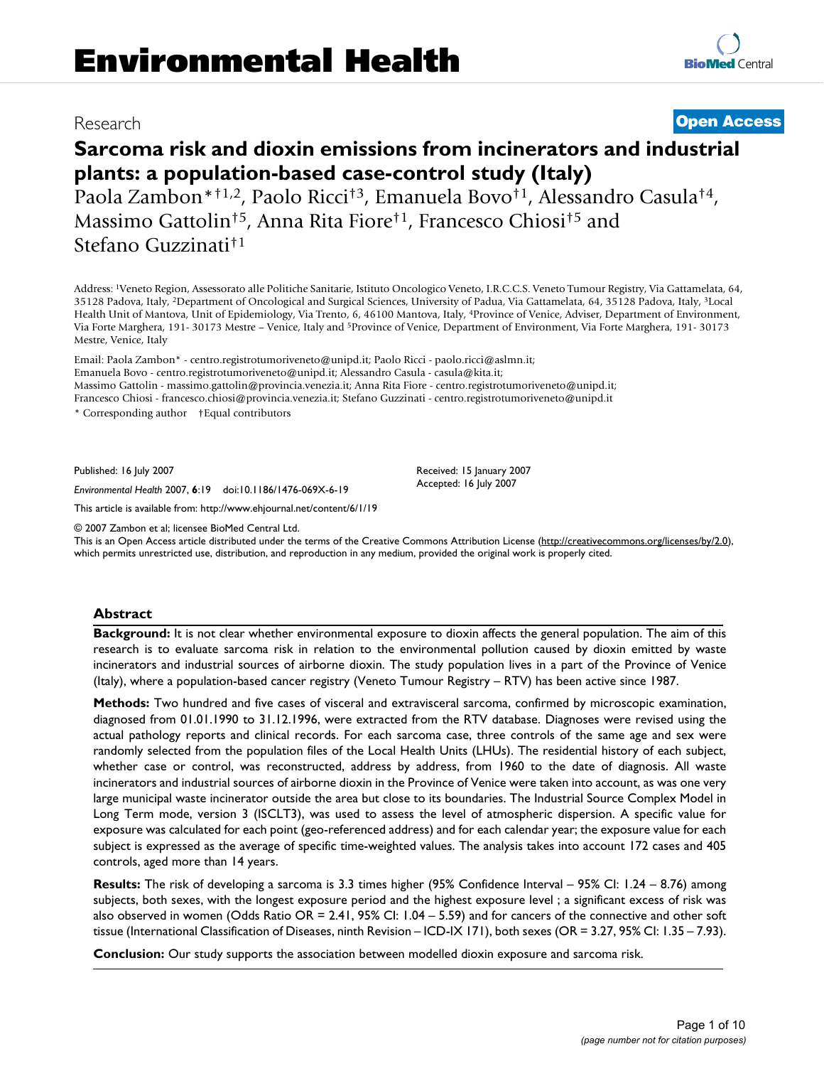# Research **[Open Access](http://www.biomedcentral.com/info/about/charter/)**

# **Sarcoma risk and dioxin emissions from incinerators and industrial plants: a population-based case-control study (Italy)**

Paola Zambon\*†1,2, Paolo Ricci†3, Emanuela Bovo†1, Alessandro Casula†4, Massimo Gattolin†5, Anna Rita Fiore†1, Francesco Chiosi†5 and Stefano Guzzinati†1

Address: 1Veneto Region, Assessorato alle Politiche Sanitarie, Istituto Oncologico Veneto, I.R.C.C.S. Veneto Tumour Registry, Via Gattamelata, 64, 35128 Padova, Italy, 2Department of Oncological and Surgical Sciences, University of Padua, Via Gattamelata, 64, 35128 Padova, Italy, 3Local Health Unit of Mantova, Unit of Epidemiology, Via Trento, 6, 46100 Mantova, Italy, 4Province of Venice, Adviser, Department of Environment, Via Forte Marghera, 191- 30173 Mestre – Venice, Italy and 5Province of Venice, Department of Environment, Via Forte Marghera, 191- 30173 Mestre, Venice, Italy

Email: Paola Zambon\* - centro.registrotumoriveneto@unipd.it; Paolo Ricci - paolo.ricci@aslmn.it; Emanuela Bovo - centro.registrotumoriveneto@unipd.it; Alessandro Casula - casula@kita.it; Massimo Gattolin - massimo.gattolin@provincia.venezia.it; Anna Rita Fiore - centro.registrotumoriveneto@unipd.it; Francesco Chiosi - francesco.chiosi@provincia.venezia.it; Stefano Guzzinati - centro.registrotumoriveneto@unipd.it

\* Corresponding author †Equal contributors

Published: 16 July 2007

*Environmental Health* 2007, **6**:19 doi:10.1186/1476-069X-6-19

[This article is available from: http://www.ehjournal.net/content/6/1/19](http://www.ehjournal.net/content/6/1/19)

© 2007 Zambon et al; licensee BioMed Central Ltd.

This is an Open Access article distributed under the terms of the Creative Commons Attribution License [\(http://creativecommons.org/licenses/by/2.0\)](http://creativecommons.org/licenses/by/2.0), which permits unrestricted use, distribution, and reproduction in any medium, provided the original work is properly cited.

#### **Abstract**

**Background:** It is not clear whether environmental exposure to dioxin affects the general population. The aim of this research is to evaluate sarcoma risk in relation to the environmental pollution caused by dioxin emitted by waste incinerators and industrial sources of airborne dioxin. The study population lives in a part of the Province of Venice (Italy), where a population-based cancer registry (Veneto Tumour Registry – RTV) has been active since 1987.

**Methods:** Two hundred and five cases of visceral and extravisceral sarcoma, confirmed by microscopic examination, diagnosed from 01.01.1990 to 31.12.1996, were extracted from the RTV database. Diagnoses were revised using the actual pathology reports and clinical records. For each sarcoma case, three controls of the same age and sex were randomly selected from the population files of the Local Health Units (LHUs). The residential history of each subject, whether case or control, was reconstructed, address by address, from 1960 to the date of diagnosis. All waste incinerators and industrial sources of airborne dioxin in the Province of Venice were taken into account, as was one very large municipal waste incinerator outside the area but close to its boundaries. The Industrial Source Complex Model in Long Term mode, version 3 (ISCLT3), was used to assess the level of atmospheric dispersion. A specific value for exposure was calculated for each point (geo-referenced address) and for each calendar year; the exposure value for each subject is expressed as the average of specific time-weighted values. The analysis takes into account 172 cases and 405 controls, aged more than 14 years.

**Results:** The risk of developing a sarcoma is 3.3 times higher (95% Confidence Interval – 95% CI: 1.24 – 8.76) among subjects, both sexes, with the longest exposure period and the highest exposure level ; a significant excess of risk was also observed in women (Odds Ratio OR = 2.41, 95% CI: 1.04 – 5.59) and for cancers of the connective and other soft tissue (International Classification of Diseases, ninth Revision – ICD-IX 171), both sexes (OR = 3.27, 95% CI: 1.35 – 7.93).

**Conclusion:** Our study supports the association between modelled dioxin exposure and sarcoma risk.

Received: 15 January 2007 Accepted: 16 July 2007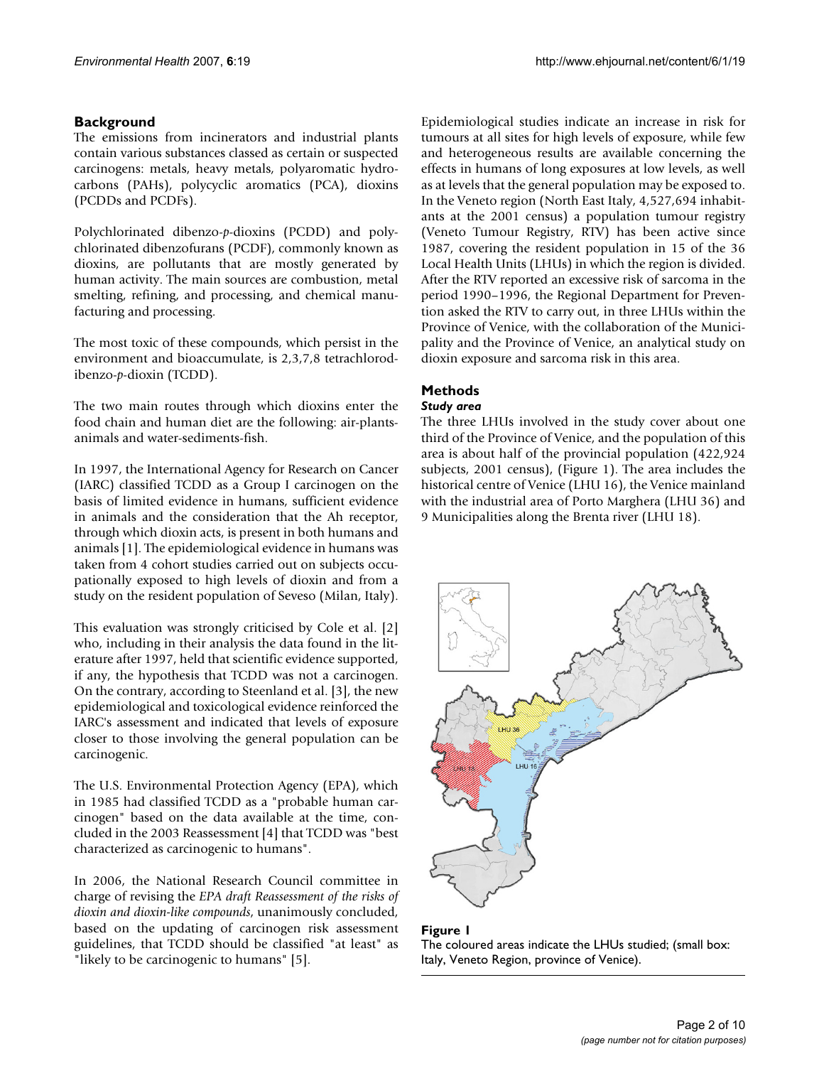# **Background**

The emissions from incinerators and industrial plants contain various substances classed as certain or suspected carcinogens: metals, heavy metals, polyaromatic hydrocarbons (PAHs), polycyclic aromatics (PCA), dioxins (PCDDs and PCDFs).

Polychlorinated dibenzo-*p*-dioxins (PCDD) and polychlorinated dibenzofurans (PCDF), commonly known as dioxins, are pollutants that are mostly generated by human activity. The main sources are combustion, metal smelting, refining, and processing, and chemical manufacturing and processing.

The most toxic of these compounds, which persist in the environment and bioaccumulate, is 2,3,7,8 tetrachlorodibenzo-*p*-dioxin (TCDD).

The two main routes through which dioxins enter the food chain and human diet are the following: air-plantsanimals and water-sediments-fish.

In 1997, the International Agency for Research on Cancer (IARC) classified TCDD as a Group I carcinogen on the basis of limited evidence in humans, sufficient evidence in animals and the consideration that the Ah receptor, through which dioxin acts, is present in both humans and animals [1]. The epidemiological evidence in humans was taken from 4 cohort studies carried out on subjects occupationally exposed to high levels of dioxin and from a study on the resident population of Seveso (Milan, Italy).

This evaluation was strongly criticised by Cole et al. [2] who, including in their analysis the data found in the literature after 1997, held that scientific evidence supported, if any, the hypothesis that TCDD was not a carcinogen. On the contrary, according to Steenland et al. [3], the new epidemiological and toxicological evidence reinforced the IARC's assessment and indicated that levels of exposure closer to those involving the general population can be carcinogenic.

The U.S. Environmental Protection Agency (EPA), which in 1985 had classified TCDD as a "probable human carcinogen" based on the data available at the time, concluded in the 2003 Reassessment [4] that TCDD was "best characterized as carcinogenic to humans".

In 2006, the National Research Council committee in charge of revising the *EPA draft Reassessment of the risks of dioxin and dioxin-like compounds*, unanimously concluded, based on the updating of carcinogen risk assessment guidelines, that TCDD should be classified "at least" as "likely to be carcinogenic to humans" [5].

Epidemiological studies indicate an increase in risk for tumours at all sites for high levels of exposure, while few and heterogeneous results are available concerning the effects in humans of long exposures at low levels, as well as at levels that the general population may be exposed to. In the Veneto region (North East Italy, 4,527,694 inhabitants at the 2001 census) a population tumour registry (Veneto Tumour Registry, RTV) has been active since 1987, covering the resident population in 15 of the 36 Local Health Units (LHUs) in which the region is divided. After the RTV reported an excessive risk of sarcoma in the period 1990–1996, the Regional Department for Prevention asked the RTV to carry out, in three LHUs within the Province of Venice, with the collaboration of the Municipality and the Province of Venice, an analytical study on dioxin exposure and sarcoma risk in this area.

# **Methods**

## *Study area*

The three LHUs involved in the study cover about one third of the Province of Venice, and the population of this area is about half of the provincial population (422,924 subjects, 2001 census), (Figure 1). The area includes the historical centre of Venice (LHU 16), the Venice mainland with the industrial area of Porto Marghera (LHU 36) and 9 Municipalities along the Brenta river (LHU 18).



Figure 1 The coloured areas indicate the LHUs studied; (small box: Italy, Veneto Region, province of Venice).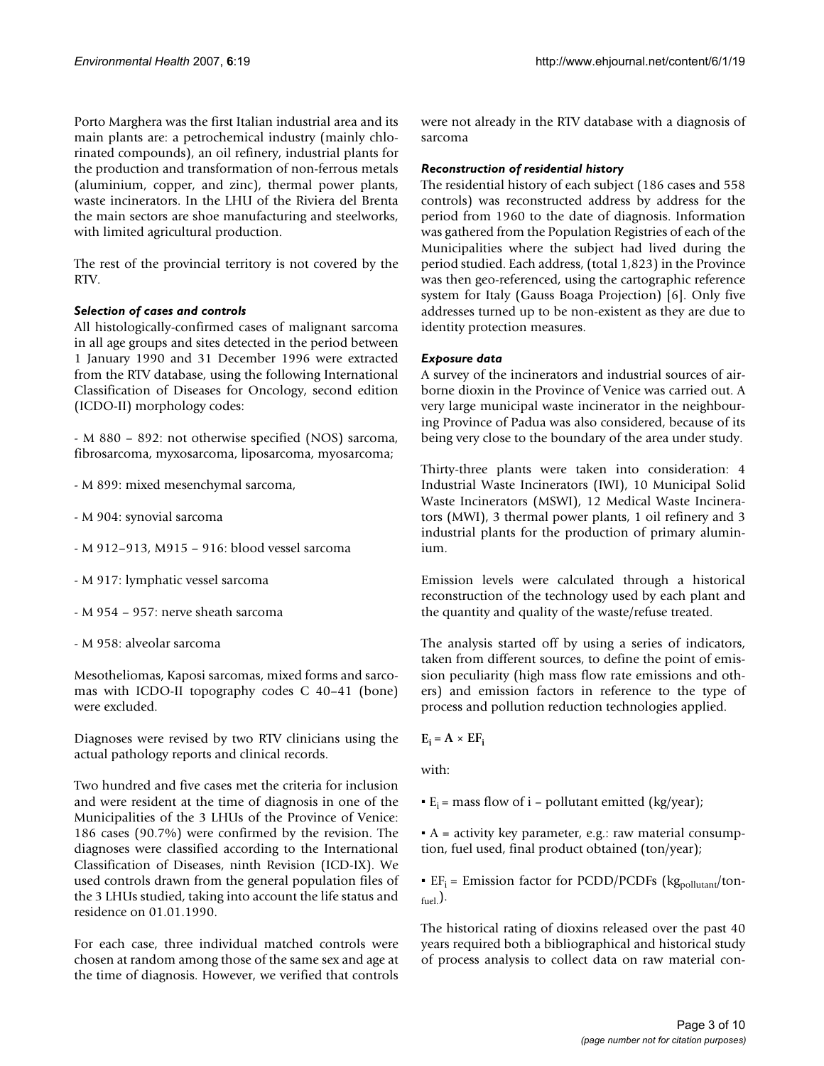Porto Marghera was the first Italian industrial area and its main plants are: a petrochemical industry (mainly chlorinated compounds), an oil refinery, industrial plants for the production and transformation of non-ferrous metals (aluminium, copper, and zinc), thermal power plants, waste incinerators. In the LHU of the Riviera del Brenta the main sectors are shoe manufacturing and steelworks, with limited agricultural production.

The rest of the provincial territory is not covered by the RTV.

# *Selection of cases and controls*

All histologically-confirmed cases of malignant sarcoma in all age groups and sites detected in the period between 1 January 1990 and 31 December 1996 were extracted from the RTV database, using the following International Classification of Diseases for Oncology, second edition (ICDO-II) morphology codes:

- M 880 – 892: not otherwise specified (NOS) sarcoma, fibrosarcoma, myxosarcoma, liposarcoma, myosarcoma;

- M 899: mixed mesenchymal sarcoma,
- M 904: synovial sarcoma
- M 912–913, M915 916: blood vessel sarcoma
- M 917: lymphatic vessel sarcoma
- M 954 957: nerve sheath sarcoma
- M 958: alveolar sarcoma

Mesotheliomas, Kaposi sarcomas, mixed forms and sarcomas with ICDO-II topography codes C 40–41 (bone) were excluded.

Diagnoses were revised by two RTV clinicians using the actual pathology reports and clinical records.

Two hundred and five cases met the criteria for inclusion and were resident at the time of diagnosis in one of the Municipalities of the 3 LHUs of the Province of Venice: 186 cases (90.7%) were confirmed by the revision. The diagnoses were classified according to the International Classification of Diseases, ninth Revision (ICD-IX). We used controls drawn from the general population files of the 3 LHUs studied, taking into account the life status and residence on 01.01.1990.

For each case, three individual matched controls were chosen at random among those of the same sex and age at the time of diagnosis. However, we verified that controls were not already in the RTV database with a diagnosis of sarcoma

#### *Reconstruction of residential history*

The residential history of each subject (186 cases and 558 controls) was reconstructed address by address for the period from 1960 to the date of diagnosis. Information was gathered from the Population Registries of each of the Municipalities where the subject had lived during the period studied. Each address, (total 1,823) in the Province was then geo-referenced, using the cartographic reference system for Italy (Gauss Boaga Projection) [6]. Only five addresses turned up to be non-existent as they are due to identity protection measures.

## *Exposure data*

A survey of the incinerators and industrial sources of airborne dioxin in the Province of Venice was carried out. A very large municipal waste incinerator in the neighbouring Province of Padua was also considered, because of its being very close to the boundary of the area under study.

Thirty-three plants were taken into consideration: 4 Industrial Waste Incinerators (IWI), 10 Municipal Solid Waste Incinerators (MSWI), 12 Medical Waste Incinerators (MWI), 3 thermal power plants, 1 oil refinery and 3 industrial plants for the production of primary aluminium.

Emission levels were calculated through a historical reconstruction of the technology used by each plant and the quantity and quality of the waste/refuse treated.

The analysis started off by using a series of indicators, taken from different sources, to define the point of emission peculiarity (high mass flow rate emissions and others) and emission factors in reference to the type of process and pollution reduction technologies applied.

# $E_i = A \times EF_i$

with:

 $\cdot$  E<sub>i</sub> = mass flow of i – pollutant emitted (kg/year);

 $A =$  activity key parameter, e.g.: raw material consumption, fuel used, final product obtained (ton/year);

**EF**<sub>i</sub> = Emission factor for PCDD/PCDFs ( $kg_{\text{pollutant}}/ton$ - $_{\text{fuel}}$ ).

The historical rating of dioxins released over the past 40 years required both a bibliographical and historical study of process analysis to collect data on raw material con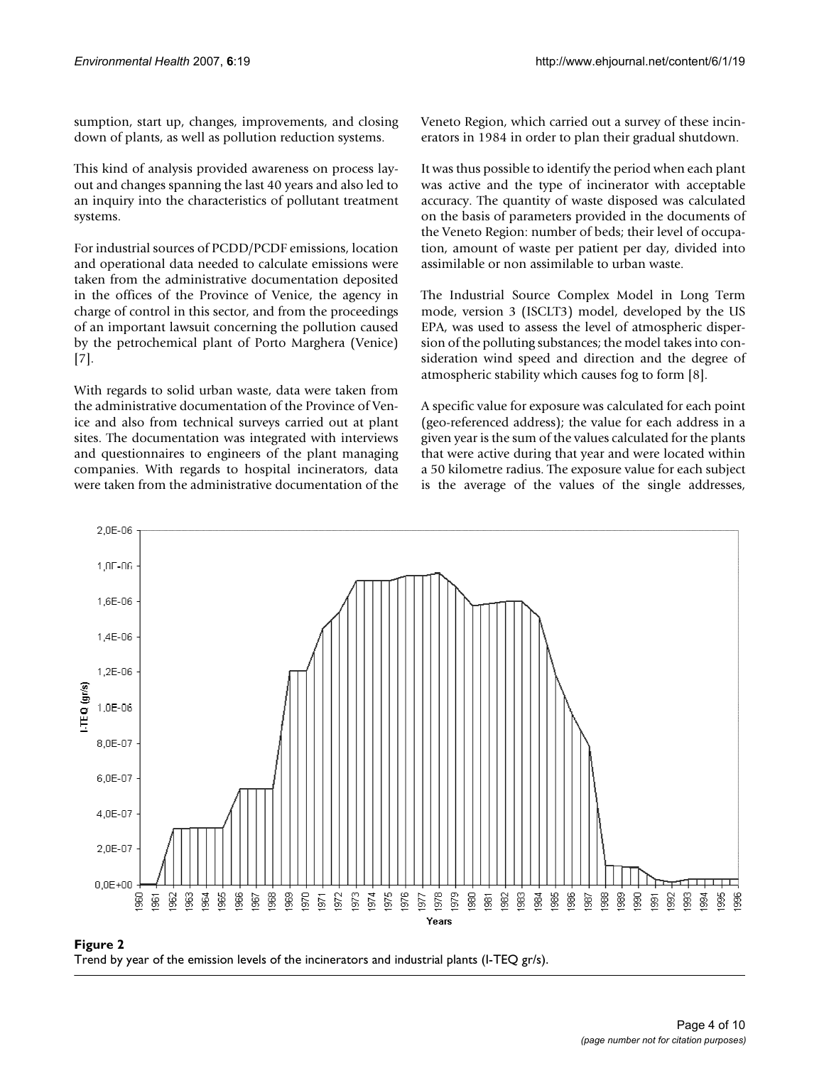sumption, start up, changes, improvements, and closing down of plants, as well as pollution reduction systems.

This kind of analysis provided awareness on process layout and changes spanning the last 40 years and also led to an inquiry into the characteristics of pollutant treatment systems.

For industrial sources of PCDD/PCDF emissions, location and operational data needed to calculate emissions were taken from the administrative documentation deposited in the offices of the Province of Venice, the agency in charge of control in this sector, and from the proceedings of an important lawsuit concerning the pollution caused by the petrochemical plant of Porto Marghera (Venice) [7].

With regards to solid urban waste, data were taken from the administrative documentation of the Province of Venice and also from technical surveys carried out at plant sites. The documentation was integrated with interviews and questionnaires to engineers of the plant managing companies. With regards to hospital incinerators, data were taken from the administrative documentation of the Veneto Region, which carried out a survey of these incinerators in 1984 in order to plan their gradual shutdown.

It was thus possible to identify the period when each plant was active and the type of incinerator with acceptable accuracy. The quantity of waste disposed was calculated on the basis of parameters provided in the documents of the Veneto Region: number of beds; their level of occupation, amount of waste per patient per day, divided into assimilable or non assimilable to urban waste.

The Industrial Source Complex Model in Long Term mode, version 3 (ISCLT3) model, developed by the US EPA, was used to assess the level of atmospheric dispersion of the polluting substances; the model takes into consideration wind speed and direction and the degree of atmospheric stability which causes fog to form [8].

A specific value for exposure was calculated for each point (geo-referenced address); the value for each address in a given year is the sum of the values calculated for the plants that were active during that year and were located within a 50 kilometre radius. The exposure value for each subject is the average of the values of the single addresses,



Trend by year of the emission  $\mathcal{P}$  in the incinerators and industrial plants (I-TEQ gr/s) and industrial plants (I-TEQ gr/s) and industrial plants (I-TEQ gr/s) and industrial plants (I-TEQ gr/s) and industrial plants ( Trend by year of the emission levels of the incinerators and industrial plants (I-TEQ gr/s).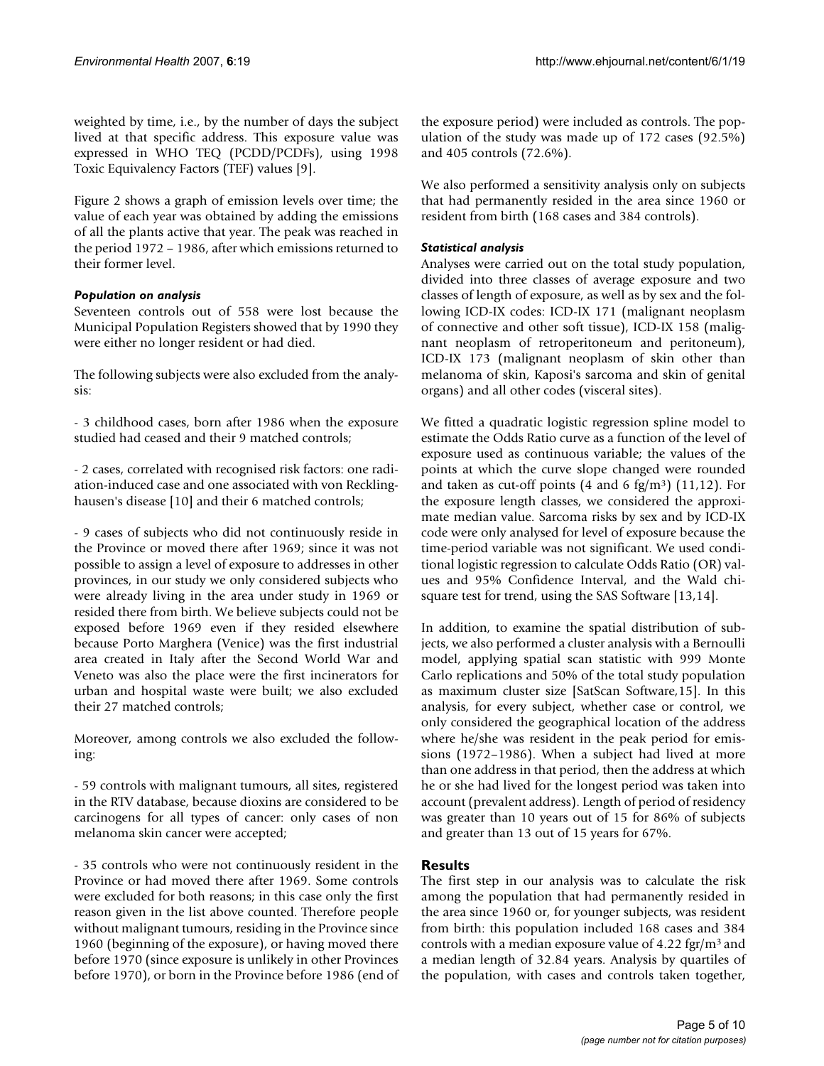weighted by time, i.e., by the number of days the subject lived at that specific address. This exposure value was expressed in WHO TEQ (PCDD/PCDFs), using 1998 Toxic Equivalency Factors (TEF) values [9].

Figure 2 shows a graph of emission levels over time; the value of each year was obtained by adding the emissions of all the plants active that year. The peak was reached in the period 1972 – 1986, after which emissions returned to their former level.

# *Population on analysis*

Seventeen controls out of 558 were lost because the Municipal Population Registers showed that by 1990 they were either no longer resident or had died.

The following subjects were also excluded from the analysis:

- 3 childhood cases, born after 1986 when the exposure studied had ceased and their 9 matched controls;

- 2 cases, correlated with recognised risk factors: one radiation-induced case and one associated with von Recklinghausen's disease [10] and their 6 matched controls;

- 9 cases of subjects who did not continuously reside in the Province or moved there after 1969; since it was not possible to assign a level of exposure to addresses in other provinces, in our study we only considered subjects who were already living in the area under study in 1969 or resided there from birth. We believe subjects could not be exposed before 1969 even if they resided elsewhere because Porto Marghera (Venice) was the first industrial area created in Italy after the Second World War and Veneto was also the place were the first incinerators for urban and hospital waste were built; we also excluded their 27 matched controls;

Moreover, among controls we also excluded the following:

- 59 controls with malignant tumours, all sites, registered in the RTV database, because dioxins are considered to be carcinogens for all types of cancer: only cases of non melanoma skin cancer were accepted;

- 35 controls who were not continuously resident in the Province or had moved there after 1969. Some controls were excluded for both reasons; in this case only the first reason given in the list above counted. Therefore people without malignant tumours, residing in the Province since 1960 (beginning of the exposure), or having moved there before 1970 (since exposure is unlikely in other Provinces before 1970), or born in the Province before 1986 (end of the exposure period) were included as controls. The population of the study was made up of 172 cases (92.5%) and 405 controls (72.6%).

We also performed a sensitivity analysis only on subjects that had permanently resided in the area since 1960 or resident from birth (168 cases and 384 controls).

# *Statistical analysis*

Analyses were carried out on the total study population, divided into three classes of average exposure and two classes of length of exposure, as well as by sex and the following ICD-IX codes: ICD-IX 171 (malignant neoplasm of connective and other soft tissue), ICD-IX 158 (malignant neoplasm of retroperitoneum and peritoneum), ICD-IX 173 (malignant neoplasm of skin other than melanoma of skin, Kaposi's sarcoma and skin of genital organs) and all other codes (visceral sites).

We fitted a quadratic logistic regression spline model to estimate the Odds Ratio curve as a function of the level of exposure used as continuous variable; the values of the points at which the curve slope changed were rounded and taken as cut-off points  $(4 \text{ and } 6 \text{ fg/m}^3)$   $(11,12)$ . For the exposure length classes, we considered the approximate median value. Sarcoma risks by sex and by ICD-IX code were only analysed for level of exposure because the time-period variable was not significant. We used conditional logistic regression to calculate Odds Ratio (OR) values and 95% Confidence Interval, and the Wald chisquare test for trend, using the SAS Software [13,14].

In addition, to examine the spatial distribution of subjects, we also performed a cluster analysis with a Bernoulli model, applying spatial scan statistic with 999 Monte Carlo replications and 50% of the total study population as maximum cluster size [SatScan Software,15]. In this analysis, for every subject, whether case or control, we only considered the geographical location of the address where he/she was resident in the peak period for emissions (1972–1986). When a subject had lived at more than one address in that period, then the address at which he or she had lived for the longest period was taken into account (prevalent address). Length of period of residency was greater than 10 years out of 15 for 86% of subjects and greater than 13 out of 15 years for 67%.

# **Results**

The first step in our analysis was to calculate the risk among the population that had permanently resided in the area since 1960 or, for younger subjects, was resident from birth: this population included 168 cases and 384 controls with a median exposure value of  $4.22 \text{ fgr/m}^3$  and a median length of 32.84 years. Analysis by quartiles of the population, with cases and controls taken together,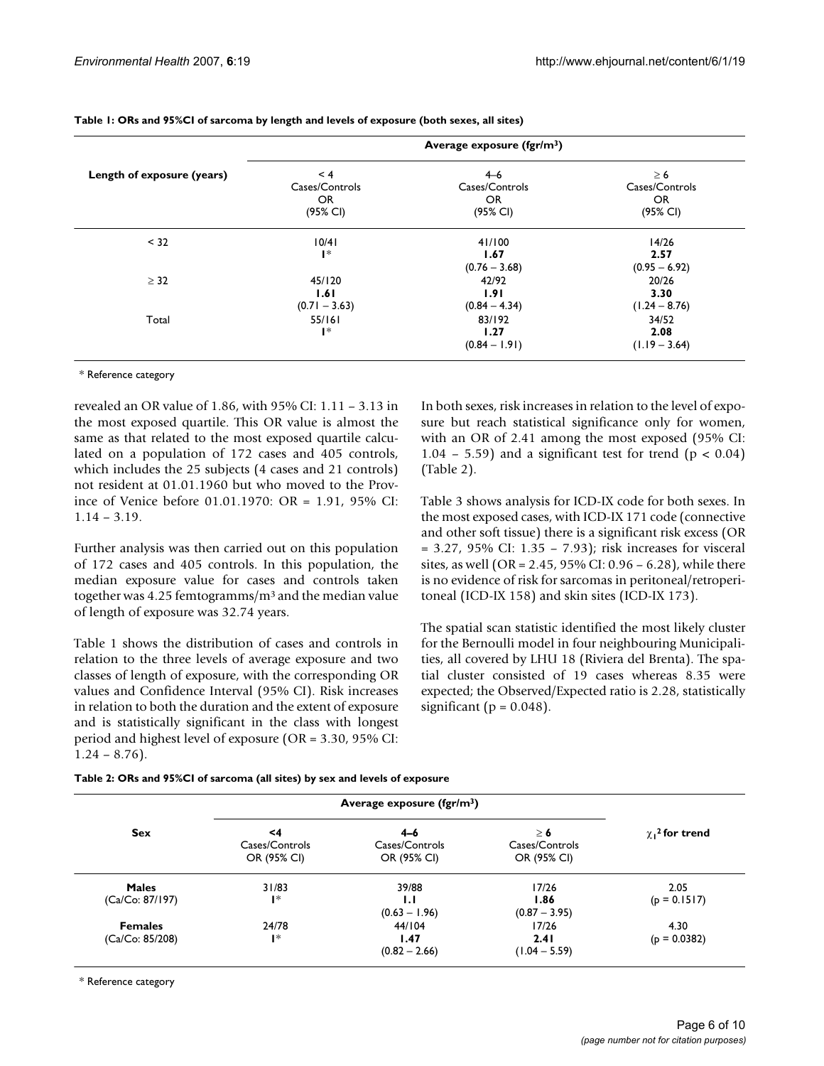|                            |                                          | Average exposure (fgr/m <sup>3</sup> )      |                                               |
|----------------------------|------------------------------------------|---------------------------------------------|-----------------------------------------------|
| Length of exposure (years) | < 4<br>Cases/Controls<br>OR.<br>(95% CI) | $4 - 6$<br>Cases/Controls<br>OR<br>(95% CI) | $\geq 6$<br>Cases/Controls<br>OR.<br>(95% CI) |
| < 32                       | 10/41<br>$\mathsf{I}^*$                  | 41/100<br>1.67<br>$(0.76 - 3.68)$           | 14/26<br>2.57<br>$(0.95 - 6.92)$              |
| $\geq$ 32                  | 45/120<br>1.61<br>$(0.71 - 3.63)$        | 42/92<br>1.91<br>$(0.84 - 4.34)$            | 20/26<br>3.30<br>$(1.24 - 8.76)$              |
| Total                      | 55/161<br>$\mathsf{I}^*$                 | 83/192<br>1.27<br>$(0.84 - 1.91)$           | 34/52<br>2.08<br>$(1.19 - 3.64)$              |

#### **Table 1: ORs and 95%CI of sarcoma by length and levels of exposure (both sexes, all sites)**

\* Reference category

revealed an OR value of 1.86, with 95% CI: 1.11 – 3.13 in the most exposed quartile. This OR value is almost the same as that related to the most exposed quartile calculated on a population of 172 cases and 405 controls, which includes the 25 subjects (4 cases and 21 controls) not resident at 01.01.1960 but who moved to the Province of Venice before 01.01.1970: OR = 1.91, 95% CI: 1.14 – 3.19.

Further analysis was then carried out on this population of 172 cases and 405 controls. In this population, the median exposure value for cases and controls taken together was 4.25 femtogramms/m3 and the median value of length of exposure was 32.74 years.

Table 1 shows the distribution of cases and controls in relation to the three levels of average exposure and two classes of length of exposure, with the corresponding OR values and Confidence Interval (95% CI). Risk increases in relation to both the duration and the extent of exposure and is statistically significant in the class with longest period and highest level of exposure (OR = 3.30, 95% CI:  $1.24 - 8.76$ .

In both sexes, risk increases in relation to the level of exposure but reach statistical significance only for women, with an OR of 2.41 among the most exposed (95% CI: 1.04 – 5.59) and a significant test for trend ( $p < 0.04$ ) (Table 2).

Table 3 shows analysis for ICD-IX code for both sexes. In the most exposed cases, with ICD-IX 171 code (connective and other soft tissue) there is a significant risk excess (OR = 3.27, 95% CI: 1.35 – 7.93); risk increases for visceral sites, as well (OR = 2.45, 95% CI: 0.96 – 6.28), while there is no evidence of risk for sarcomas in peritoneal/retroperitoneal (ICD-IX 158) and skin sites (ICD-IX 173).

The spatial scan statistic identified the most likely cluster for the Bernoulli model in four neighbouring Municipalities, all covered by LHU 18 (Riviera del Brenta). The spatial cluster consisted of 19 cases whereas 8.35 were expected; the Observed/Expected ratio is 2.28, statistically significant ( $p = 0.048$ ).

|  |  |  | Table 2: ORs and 95%CI of sarcoma (all sites) by sex and levels of exposure |
|--|--|--|-----------------------------------------------------------------------------|
|  |  |  |                                                                             |

| <b>Sex</b>      | Average exposure $(fgr/m^3)$        |                                          |                                           |                      |
|-----------------|-------------------------------------|------------------------------------------|-------------------------------------------|----------------------|
|                 | <4<br>Cases/Controls<br>OR (95% CI) | $4 - 6$<br>Cases/Controls<br>OR (95% CI) | $\geq 6$<br>Cases/Controls<br>OR (95% CI) | $\chi_1^2$ for trend |
| <b>Males</b>    | 31/83                               | 39/88                                    | 17/26                                     | 2.05                 |
| (Ca/Co: 87/197) | $\mathsf{I}^*$                      | $\mathbf{L}$<br>$(0.63 - 1.96)$          | 1.86<br>$(0.87 - 3.95)$                   | $(p = 0.1517)$       |
| <b>Females</b>  | 24/78                               | 44/104                                   | 17/26                                     | 4.30                 |
| (Ca/Co: 85/208) | $\mathsf{I}^*$                      | 1.47<br>$(0.82 - 2.66)$                  | 2.41<br>$(1.04 - 5.59)$                   | $(p = 0.0382)$       |

\* Reference category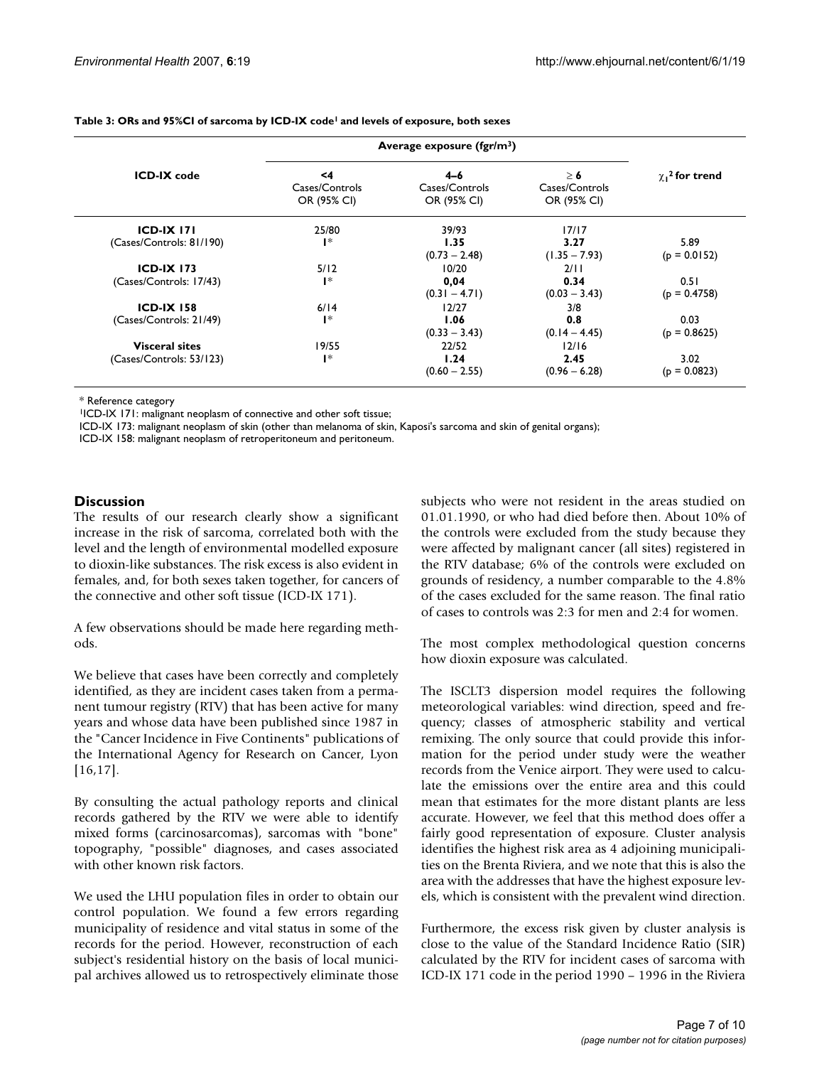| <b>ICD-IX</b> code       | Average exposure $(fgr/m3)$         |                                          |                                           |                      |
|--------------------------|-------------------------------------|------------------------------------------|-------------------------------------------|----------------------|
|                          | <4<br>Cases/Controls<br>OR (95% CI) | $4 - 6$<br>Cases/Controls<br>OR (95% CI) | $\geq 6$<br>Cases/Controls<br>OR (95% CI) | $\chi_1^2$ for trend |
| $ICD-IX$ $171$           | 25/80                               | 39/93                                    | 17/17                                     |                      |
| (Cases/Controls: 81/190) | $\mathsf{I}^*$                      | 1.35                                     | 3.27                                      | 5.89                 |
|                          |                                     | $(0.73 - 2.48)$                          | $(1.35 - 7.93)$                           | $(p = 0.0152)$       |
| <b>ICD-IX 173</b>        | 5/12                                | 10/20                                    | 2/11                                      |                      |
| (Cases/Controls: 17/43)  | $\mathsf{I}^*$                      | 0,04                                     | 0.34                                      | 0.51                 |
|                          |                                     | $(0.31 - 4.71)$                          | $(0.03 - 3.43)$                           | $(p = 0.4758)$       |
| <b>ICD-IX 158</b>        | 6/14                                | 12/27                                    | 3/8                                       |                      |
| (Cases/Controls: 21/49)  | $\mathsf{I}^*$                      | 1.06                                     | 0.8                                       | 0.03                 |
|                          |                                     | $(0.33 - 3.43)$                          | $(0.14 - 4.45)$                           | $(p = 0.8625)$       |
| <b>Visceral sites</b>    | 19/55                               | 22/52                                    | 12/16                                     |                      |
| (Cases/Controls: 53/123) | l*                                  | 1.24                                     | 2.45                                      | 3.02                 |
|                          |                                     | $(0.60 - 2.55)$                          | $(0.96 - 6.28)$                           | $(p = 0.0823)$       |

#### **Table 3: ORs and 95%CI of sarcoma by ICD-IX code1 and levels of exposure, both sexes**

\* Reference category

1ICD-IX 171: malignant neoplasm of connective and other soft tissue;

ICD-IX 173: malignant neoplasm of skin (other than melanoma of skin, Kaposi's sarcoma and skin of genital organs);

ICD-IX 158: malignant neoplasm of retroperitoneum and peritoneum.

#### **Discussion**

The results of our research clearly show a significant increase in the risk of sarcoma, correlated both with the level and the length of environmental modelled exposure to dioxin-like substances. The risk excess is also evident in females, and, for both sexes taken together, for cancers of the connective and other soft tissue (ICD-IX 171).

A few observations should be made here regarding methods.

We believe that cases have been correctly and completely identified, as they are incident cases taken from a permanent tumour registry (RTV) that has been active for many years and whose data have been published since 1987 in the "Cancer Incidence in Five Continents" publications of the International Agency for Research on Cancer, Lyon [16,17].

By consulting the actual pathology reports and clinical records gathered by the RTV we were able to identify mixed forms (carcinosarcomas), sarcomas with "bone" topography, "possible" diagnoses, and cases associated with other known risk factors.

We used the LHU population files in order to obtain our control population. We found a few errors regarding municipality of residence and vital status in some of the records for the period. However, reconstruction of each subject's residential history on the basis of local municipal archives allowed us to retrospectively eliminate those subjects who were not resident in the areas studied on 01.01.1990, or who had died before then. About 10% of the controls were excluded from the study because they were affected by malignant cancer (all sites) registered in the RTV database; 6% of the controls were excluded on grounds of residency, a number comparable to the 4.8% of the cases excluded for the same reason. The final ratio of cases to controls was 2:3 for men and 2:4 for women.

The most complex methodological question concerns how dioxin exposure was calculated.

The ISCLT3 dispersion model requires the following meteorological variables: wind direction, speed and frequency; classes of atmospheric stability and vertical remixing. The only source that could provide this information for the period under study were the weather records from the Venice airport. They were used to calculate the emissions over the entire area and this could mean that estimates for the more distant plants are less accurate. However, we feel that this method does offer a fairly good representation of exposure. Cluster analysis identifies the highest risk area as 4 adjoining municipalities on the Brenta Riviera, and we note that this is also the area with the addresses that have the highest exposure levels, which is consistent with the prevalent wind direction.

Furthermore, the excess risk given by cluster analysis is close to the value of the Standard Incidence Ratio (SIR) calculated by the RTV for incident cases of sarcoma with ICD-IX 171 code in the period 1990 – 1996 in the Riviera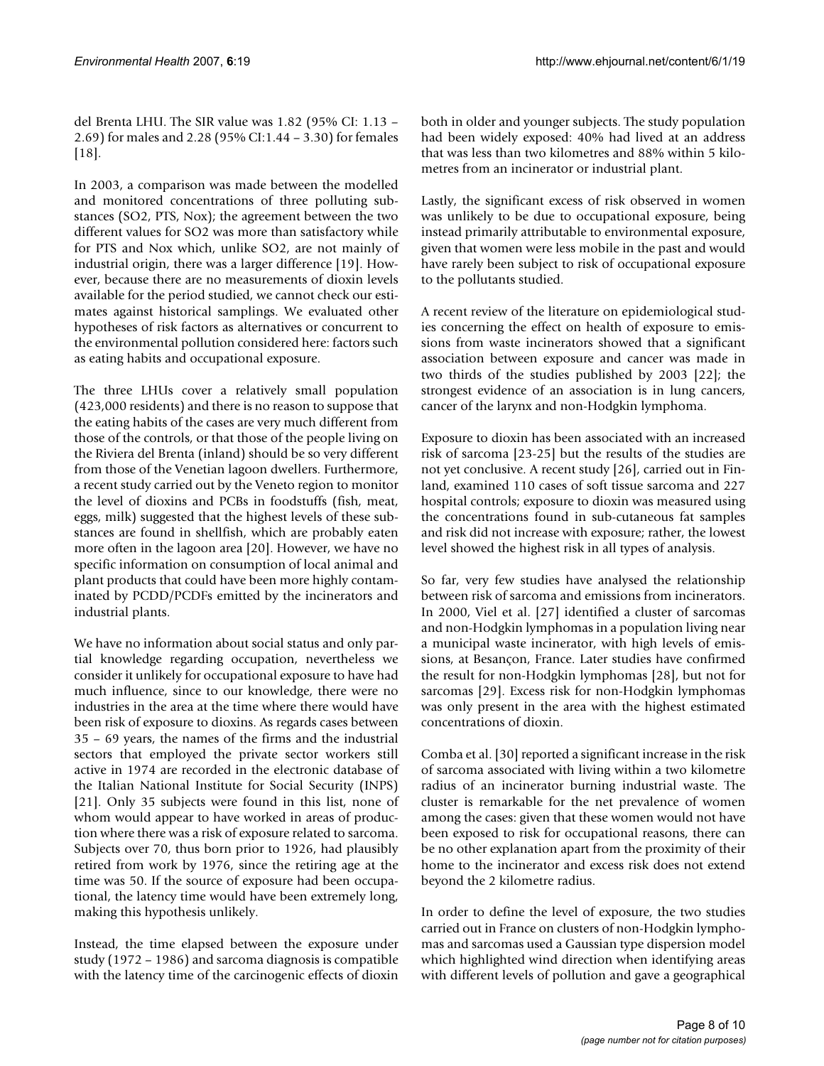del Brenta LHU. The SIR value was 1.82 (95% CI: 1.13 – 2.69) for males and 2.28 (95% CI:1.44 – 3.30) for females [18].

In 2003, a comparison was made between the modelled and monitored concentrations of three polluting substances (SO2, PTS, Nox); the agreement between the two different values for SO2 was more than satisfactory while for PTS and Nox which, unlike SO2, are not mainly of industrial origin, there was a larger difference [19]. However, because there are no measurements of dioxin levels available for the period studied, we cannot check our estimates against historical samplings. We evaluated other hypotheses of risk factors as alternatives or concurrent to the environmental pollution considered here: factors such as eating habits and occupational exposure.

The three LHUs cover a relatively small population (423,000 residents) and there is no reason to suppose that the eating habits of the cases are very much different from those of the controls, or that those of the people living on the Riviera del Brenta (inland) should be so very different from those of the Venetian lagoon dwellers. Furthermore, a recent study carried out by the Veneto region to monitor the level of dioxins and PCBs in foodstuffs (fish, meat, eggs, milk) suggested that the highest levels of these substances are found in shellfish, which are probably eaten more often in the lagoon area [20]. However, we have no specific information on consumption of local animal and plant products that could have been more highly contaminated by PCDD/PCDFs emitted by the incinerators and industrial plants.

We have no information about social status and only partial knowledge regarding occupation, nevertheless we consider it unlikely for occupational exposure to have had much influence, since to our knowledge, there were no industries in the area at the time where there would have been risk of exposure to dioxins. As regards cases between 35 – 69 years, the names of the firms and the industrial sectors that employed the private sector workers still active in 1974 are recorded in the electronic database of the Italian National Institute for Social Security (INPS) [21]. Only 35 subjects were found in this list, none of whom would appear to have worked in areas of production where there was a risk of exposure related to sarcoma. Subjects over 70, thus born prior to 1926, had plausibly retired from work by 1976, since the retiring age at the time was 50. If the source of exposure had been occupational, the latency time would have been extremely long, making this hypothesis unlikely.

Instead, the time elapsed between the exposure under study (1972 – 1986) and sarcoma diagnosis is compatible with the latency time of the carcinogenic effects of dioxin

both in older and younger subjects. The study population had been widely exposed: 40% had lived at an address that was less than two kilometres and 88% within 5 kilometres from an incinerator or industrial plant.

Lastly, the significant excess of risk observed in women was unlikely to be due to occupational exposure, being instead primarily attributable to environmental exposure, given that women were less mobile in the past and would have rarely been subject to risk of occupational exposure to the pollutants studied.

A recent review of the literature on epidemiological studies concerning the effect on health of exposure to emissions from waste incinerators showed that a significant association between exposure and cancer was made in two thirds of the studies published by 2003 [22]; the strongest evidence of an association is in lung cancers, cancer of the larynx and non-Hodgkin lymphoma.

Exposure to dioxin has been associated with an increased risk of sarcoma [23-25] but the results of the studies are not yet conclusive. A recent study [26], carried out in Finland, examined 110 cases of soft tissue sarcoma and 227 hospital controls; exposure to dioxin was measured using the concentrations found in sub-cutaneous fat samples and risk did not increase with exposure; rather, the lowest level showed the highest risk in all types of analysis.

So far, very few studies have analysed the relationship between risk of sarcoma and emissions from incinerators. In 2000, Viel et al. [27] identified a cluster of sarcomas and non-Hodgkin lymphomas in a population living near a municipal waste incinerator, with high levels of emissions, at Besançon, France. Later studies have confirmed the result for non-Hodgkin lymphomas [28], but not for sarcomas [29]. Excess risk for non-Hodgkin lymphomas was only present in the area with the highest estimated concentrations of dioxin.

Comba et al. [30] reported a significant increase in the risk of sarcoma associated with living within a two kilometre radius of an incinerator burning industrial waste. The cluster is remarkable for the net prevalence of women among the cases: given that these women would not have been exposed to risk for occupational reasons, there can be no other explanation apart from the proximity of their home to the incinerator and excess risk does not extend beyond the 2 kilometre radius.

In order to define the level of exposure, the two studies carried out in France on clusters of non-Hodgkin lymphomas and sarcomas used a Gaussian type dispersion model which highlighted wind direction when identifying areas with different levels of pollution and gave a geographical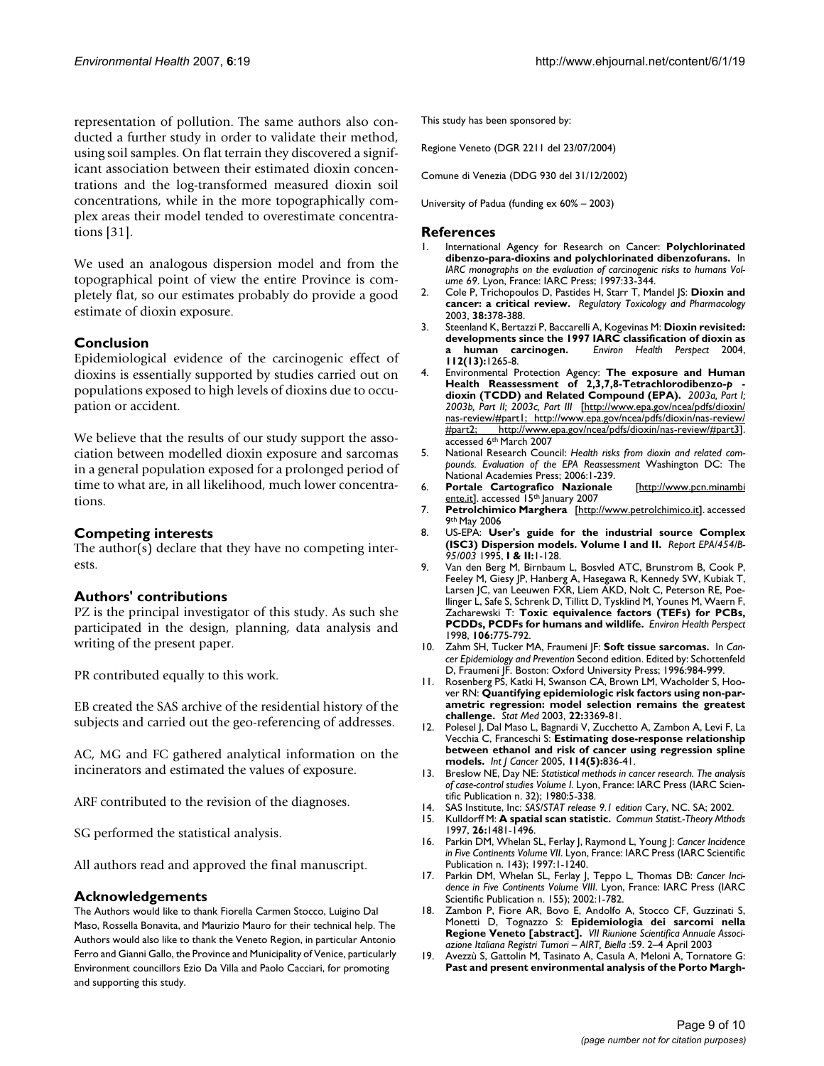representation of pollution. The same authors also conducted a further study in order to validate their method, using soil samples. On flat terrain they discovered a significant association between their estimated dioxin concentrations and the log-transformed measured dioxin soil concentrations, while in the more topographically complex areas their model tended to overestimate concentrations [31].

We used an analogous dispersion model and from the topographical point of view the entire Province is completely flat, so our estimates probably do provide a good estimate of dioxin exposure.

## **Conclusion**

Epidemiological evidence of the carcinogenic effect of dioxins is essentially supported by studies carried out on populations exposed to high levels of dioxins due to occupation or accident.

We believe that the results of our study support the association between modelled dioxin exposure and sarcomas in a general population exposed for a prolonged period of time to what are, in all likelihood, much lower concentrations.

#### **Competing interests**

The author(s) declare that they have no competing interests.

#### **Authors' contributions**

PZ is the principal investigator of this study. As such she participated in the design, planning, data analysis and writing of the present paper.

PR contributed equally to this work.

EB created the SAS archive of the residential history of the subjects and carried out the geo-referencing of addresses.

AC, MG and FC gathered analytical information on the incinerators and estimated the values of exposure.

ARF contributed to the revision of the diagnoses.

SG performed the statistical analysis.

All authors read and approved the final manuscript.

#### **Acknowledgements**

The Authors would like to thank Fiorella Carmen Stocco, Luigino Dal Maso, Rossella Bonavita, and Maurizio Mauro for their technical help. The Authors would also like to thank the Veneto Region, in particular Antonio Ferro and Gianni Gallo, the Province and Municipality of Venice, particularly Environment councillors Ezio Da Villa and Paolo Cacciari, for promoting and supporting this study.

This study has been sponsored by:

Regione Veneto (DGR 2211 del 23/07/2004)

Comune di Venezia (DDG 930 del 31/12/2002)

University of Padua (funding ex 60% – 2003)

#### **References**

- 1. International Agency for Research on Cancer: **[Polychlorinated](http://www.ncbi.nlm.nih.gov/entrez/query.fcgi?cmd=Retrieve&db=PubMed&dopt=Abstract&list_uids=9336729) [dibenzo-para-dioxins and polychlorinated dibenzofurans.](http://www.ncbi.nlm.nih.gov/entrez/query.fcgi?cmd=Retrieve&db=PubMed&dopt=Abstract&list_uids=9336729)** In *IARC monographs on the evaluation of carcinogenic risks to humans Volume 69*. Lyon, France: IARC Press; 1997:33-344.
- 2. Cole P, Trichopoulos D, Pastides H, Starr T, Mandel JS: **Dioxin and cancer: a critical review.** *Regulatory Toxicology and Pharmacology* 2003, **38:**378-388.
- 3. Steenland K, Bertazzi P, Baccarelli A, Kogevinas M: **[Dioxin revisited:](http://www.ncbi.nlm.nih.gov/entrez/query.fcgi?cmd=Retrieve&db=PubMed&dopt=Abstract&list_uids=15345337) [developments since the 1997 IARC classification of dioxin as](http://www.ncbi.nlm.nih.gov/entrez/query.fcgi?cmd=Retrieve&db=PubMed&dopt=Abstract&list_uids=15345337) [a human carcinogen.](http://www.ncbi.nlm.nih.gov/entrez/query.fcgi?cmd=Retrieve&db=PubMed&dopt=Abstract&list_uids=15345337)** *Environ Health Perspect* 2004, **112(13):**1265-8.
- 4. Environmental Protection Agency: **The exposure and Human Health Reassessment of 2,3,7,8-Tetrachlorodibenzo-***p*  **dioxin (TCDD) and Related Compound (EPA).** *2003a, Part I; 2003b, Part II; 2003c, Part III* [\[http://www.epa.gov/ncea/pdfs/dioxin/](http://www.epa.gov/ncea/pdfs/dioxin/nas-review/#part1; http://www.epa.gov/ncea/pdfs/dioxin/nas-review/#part2; http://www.epa.gov/ncea/pdfs/dioxin/nas-review/#part3) [nas-review/#part1; http://www.epa.gov/ncea/pdfs/dioxin/nas-review/](http://www.epa.gov/ncea/pdfs/dioxin/nas-review/#part1; http://www.epa.gov/ncea/pdfs/dioxin/nas-review/#part2; http://www.epa.gov/ncea/pdfs/dioxin/nas-review/#part3) [#part2; http://www.epa.gov/ncea/pdfs/dioxin/nas-review/#part3\]](http://www.epa.gov/ncea/pdfs/dioxin/nas-review/#part1; http://www.epa.gov/ncea/pdfs/dioxin/nas-review/#part2; http://www.epa.gov/ncea/pdfs/dioxin/nas-review/#part3). accessed 6th March 2007
- 5. National Research Council: *Health risks from dioxin and related compounds. Evaluation of the EPA Reassessment* Washington DC: The National Academies Press; 2006:1-239.
- 6. **Portale Cartografico Nazionale** [[http://www.pcn.minambi](http://www.pcn.minambiente.it) [ente.it\]](http://www.pcn.minambiente.it). accessed 15<sup>th</sup> January 2007
- 7. **Petrolchimico Marghera** [[http://www.petrolchimico.it\]](http://www.petrolchimico.it). accessed 9th May 2006
- 8. US-EPA: **User's guide for the industrial source Complex (ISC3) Dispersion models. Volume I and II.** *Report EPA/454/B-95/003* 1995, **I & II:**1-128.
- 9. Van den Berg M, Birnbaum L, Bosvled ATC, Brunstrom B, Cook P, Feeley M, Giesy JP, Hanberg A, Hasegawa R, Kennedy SW, Kubiak T, Larsen JC, van Leeuwen FXR, Liem AKD, Nolt C, Peterson RE, Poellinger L, Safe S, Schrenk D, Tillitt D, Tysklind M, Younes M, Waern F, Zacharewski T: **[Toxic equivalence factors \(TEFs\) for PCBs,](http://www.ncbi.nlm.nih.gov/entrez/query.fcgi?cmd=Retrieve&db=PubMed&dopt=Abstract&list_uids=9831538) [PCDDs, PCDFs for humans and wildlife.](http://www.ncbi.nlm.nih.gov/entrez/query.fcgi?cmd=Retrieve&db=PubMed&dopt=Abstract&list_uids=9831538)** *Environ Health Perspect* 1998, **106:**775-792.
- 10. Zahm SH, Tucker MA, Fraumeni JF: **Soft tissue sarcomas.** In *Cancer Epidemiology and Prevention* Second edition. Edited by: Schottenfeld D, Fraumeni JF. Boston: Oxford University Press; 1996:984-999.
- 11. Rosenberg PS, Katki H, Swanson CA, Brown LM, Wacholder S, Hoover RN: **[Quantifying epidemiologic risk factors using non-par](http://www.ncbi.nlm.nih.gov/entrez/query.fcgi?cmd=Retrieve&db=PubMed&dopt=Abstract&list_uids=14566921)[ametric regression: model selection remains the greatest](http://www.ncbi.nlm.nih.gov/entrez/query.fcgi?cmd=Retrieve&db=PubMed&dopt=Abstract&list_uids=14566921) [challenge.](http://www.ncbi.nlm.nih.gov/entrez/query.fcgi?cmd=Retrieve&db=PubMed&dopt=Abstract&list_uids=14566921)** *Stat Med* 2003, **22:**3369-81.
- 12. Polesel J, Dal Maso L, Bagnardi V, Zucchetto A, Zambon A, Levi F, La Vecchia C, Franceschi S: **[Estimating dose-response relationship](http://www.ncbi.nlm.nih.gov/entrez/query.fcgi?cmd=Retrieve&db=PubMed&dopt=Abstract&list_uids=15609308) [between ethanol and risk of cancer using regression spline](http://www.ncbi.nlm.nih.gov/entrez/query.fcgi?cmd=Retrieve&db=PubMed&dopt=Abstract&list_uids=15609308) [models.](http://www.ncbi.nlm.nih.gov/entrez/query.fcgi?cmd=Retrieve&db=PubMed&dopt=Abstract&list_uids=15609308)** *Int J Cancer* 2005, **114(5):**836-41.
- 13. Breslow NE, Day NE: *Statistical methods in cancer research. The analysis of case-control studies Volume I*. Lyon, France: IARC Press (IARC Scientific Publication n. 32); 1980:5-338.
- 14. SAS Institute, Inc: *SAS/STAT release 9.1 edition* Cary, NC. SA; 2002.
- 15. Kulldorff M: **A spatial scan statistic.** *Commun Statist.-Theory Mthods* 1997, **26:**1481-1496.
- 16. Parkin DM, Whelan SL, Ferlay J, Raymond L, Young J: *Cancer Incidence in Five Continents Volume VII*. Lyon, France: IARC Press (IARC Scientific Publication n. 143); 1997:1-1240.
- 17. Parkin DM, Whelan SL, Ferlay J, Teppo L, Thomas DB: *Cancer Incidence in Five Continents Volume VIII*. Lyon, France: IARC Press (IARC Scientific Publication n. 155); 2002:1-782.
- 18. Zambon P, Fiore AR, Bovo E, Andolfo A, Stocco CF, Guzzinati S, Monetti D, Tognazzo S: **Epidemiologia dei sarcomi nella Regione Veneto [abstract].** *VII Riunione Scientifica Annuale Associazione Italiana Registri Tumori – AIRT, Biella* :59. 2–4 April 2003
- 19. Avezzù S, Gattolin M, Tasinato A, Casula A, Meloni A, Tornatore G: **Past and present environmental analysis of the Porto Margh-**